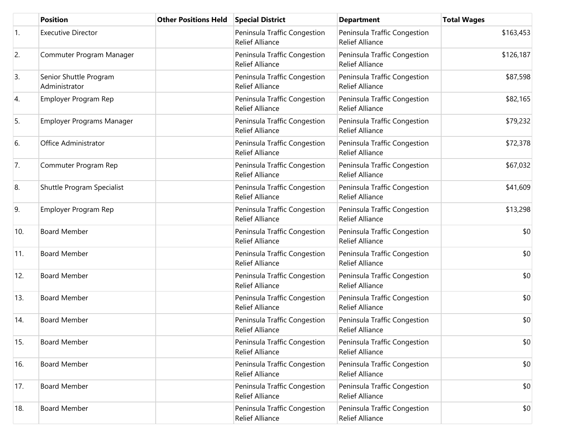|     | <b>Position</b>                         | <b>Other Positions Held</b> | <b>Special District</b>                                | <b>Department</b>                                      | <b>Total Wages</b> |
|-----|-----------------------------------------|-----------------------------|--------------------------------------------------------|--------------------------------------------------------|--------------------|
| 1.  | <b>Executive Director</b>               |                             | Peninsula Traffic Congestion<br><b>Relief Alliance</b> | Peninsula Traffic Congestion<br><b>Relief Alliance</b> | \$163,453          |
| 2.  | Commuter Program Manager                |                             | Peninsula Traffic Congestion<br><b>Relief Alliance</b> | Peninsula Traffic Congestion<br><b>Relief Alliance</b> | \$126,187          |
| 3.  | Senior Shuttle Program<br>Administrator |                             | Peninsula Traffic Congestion<br><b>Relief Alliance</b> | Peninsula Traffic Congestion<br><b>Relief Alliance</b> | \$87,598           |
| 4.  | Employer Program Rep                    |                             | Peninsula Traffic Congestion<br><b>Relief Alliance</b> | Peninsula Traffic Congestion<br><b>Relief Alliance</b> | \$82,165           |
| 5.  | <b>Employer Programs Manager</b>        |                             | Peninsula Traffic Congestion<br><b>Relief Alliance</b> | Peninsula Traffic Congestion<br>Relief Alliance        | \$79,232           |
| 6.  | Office Administrator                    |                             | Peninsula Traffic Congestion<br><b>Relief Alliance</b> | Peninsula Traffic Congestion<br><b>Relief Alliance</b> | \$72,378           |
| 7.  | Commuter Program Rep                    |                             | Peninsula Traffic Congestion<br><b>Relief Alliance</b> | Peninsula Traffic Congestion<br><b>Relief Alliance</b> | \$67,032           |
| 8.  | Shuttle Program Specialist              |                             | Peninsula Traffic Congestion<br><b>Relief Alliance</b> | Peninsula Traffic Congestion<br><b>Relief Alliance</b> | \$41,609           |
| 9.  | Employer Program Rep                    |                             | Peninsula Traffic Congestion<br><b>Relief Alliance</b> | Peninsula Traffic Congestion<br><b>Relief Alliance</b> | \$13,298           |
| 10. | <b>Board Member</b>                     |                             | Peninsula Traffic Congestion<br><b>Relief Alliance</b> | Peninsula Traffic Congestion<br><b>Relief Alliance</b> | \$0                |
| 11. | <b>Board Member</b>                     |                             | Peninsula Traffic Congestion<br><b>Relief Alliance</b> | Peninsula Traffic Congestion<br><b>Relief Alliance</b> | \$0                |
| 12. | <b>Board Member</b>                     |                             | Peninsula Traffic Congestion<br><b>Relief Alliance</b> | Peninsula Traffic Congestion<br><b>Relief Alliance</b> | \$0                |
| 13. | <b>Board Member</b>                     |                             | Peninsula Traffic Congestion<br><b>Relief Alliance</b> | Peninsula Traffic Congestion<br><b>Relief Alliance</b> | \$0                |
| 14. | <b>Board Member</b>                     |                             | Peninsula Traffic Congestion<br><b>Relief Alliance</b> | Peninsula Traffic Congestion<br><b>Relief Alliance</b> | \$0                |
| 15. | <b>Board Member</b>                     |                             | Peninsula Traffic Congestion<br><b>Relief Alliance</b> | Peninsula Traffic Congestion<br><b>Relief Alliance</b> | \$0                |
| 16. | <b>Board Member</b>                     |                             | Peninsula Traffic Congestion<br><b>Relief Alliance</b> | Peninsula Traffic Congestion<br><b>Relief Alliance</b> | \$0                |
| 17. | <b>Board Member</b>                     |                             | Peninsula Traffic Congestion<br><b>Relief Alliance</b> | Peninsula Traffic Congestion<br><b>Relief Alliance</b> | \$0                |
| 18. | <b>Board Member</b>                     |                             | Peninsula Traffic Congestion<br><b>Relief Alliance</b> | Peninsula Traffic Congestion<br>Relief Alliance        | \$0                |